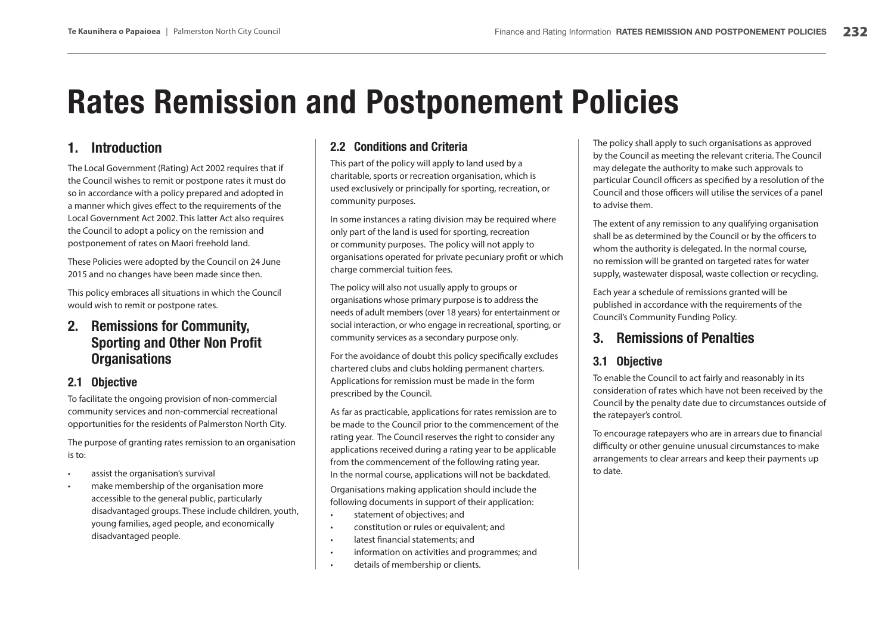# **Rates Remission and Postponement Policies**

#### **1.Introduction**

The Local Government (Rating) Act 2002 requires that if the Council wishes to remit or postpone rates it must do so in accordance with a policy prepared and adopted in a manner which gives effect to the requirements of the Local Government Act 2002. This latter Act also requires the Council to adopt a policy on the remission and postponement of rates on Maori freehold land.

These Policies were adopted by the Council on 24 June 2015 and no changes have been made since then.

This policy embraces all situations in which the Council would wish to remit or postpone rates.

# **2. Remissions for Community, Sporting and Other Non Profit Organisations**

### **2.1 Objective**

To facilitate the ongoing provision of non-commercial community services and non-commercial recreational opportunities for the residents of Palmerston North City.

The purpose of granting rates remission to an organisation is to:

- assist the organisation's survival
- make membership of the organisation more accessible to the general public, particularly disadvantaged groups. These include children, youth, young families, aged people, and economically disadvantaged people.

# **2.2 Conditions and Criteria**

This part of the policy will apply to land used by a charitable, sports or recreation organisation, which is used exclusively or principally for sporting, recreation, or community purposes.

In some instances a rating division may be required where only part of the land is used for sporting, recreation or community purposes. The policy will not apply to organisations operated for private pecuniary profit or which charge commercial tuition fees.

The policy will also not usually apply to groups or organisations whose primary purpose is to address the needs of adult members (over 18 years) for entertainment or social interaction, or who engage in recreational, sporting, or community services as a secondary purpose only.

For the avoidance of doubt this policy specifically excludes chartered clubs and clubs holding permanent charters. Applications for remission must be made in the form prescribed by the Council.

As far as practicable, applications for rates remission are to be made to the Council prior to the commencement of the rating year. The Council reserves the right to consider any applications received during a rating year to be applicable from the commencement of the following rating year. In the normal course, applications will not be backdated.

Organisations making application should include the following documents in support of their application:

- •statement of objectives; and
- •constitution or rules or equivalent; and
- •latest financial statements; and
- •information on activities and programmes; and
- •details of membership or clients.

The policy shall apply to such organisations as approved by the Council as meeting the relevant criteria. The Council may delegate the authority to make such approvals to particular Council officers as specified by a resolution of the Council and those officers will utilise the services of a panel to advise them.

The extent of any remission to any qualifying organisation shall be as determined by the Council or by the officers to whom the authority is delegated. In the normal course, no remission will be granted on targeted rates for water supply, wastewater disposal, waste collection or recycling.

Each year a schedule of remissions granted will be published in accordance with the requirements of the Council's Community Funding Policy.

#### **3.Remissions of Penalties**

# **3.1 Objective**

To enable the Council to act fairly and reasonably in its consideration of rates which have not been received by the Council by the penalty date due to circumstances outside of the ratepayer's control.

To encourage ratepayers who are in arrears due to financial difficulty or other genuine unusual circumstances to make arrangements to clear arrears and keep their payments up to date.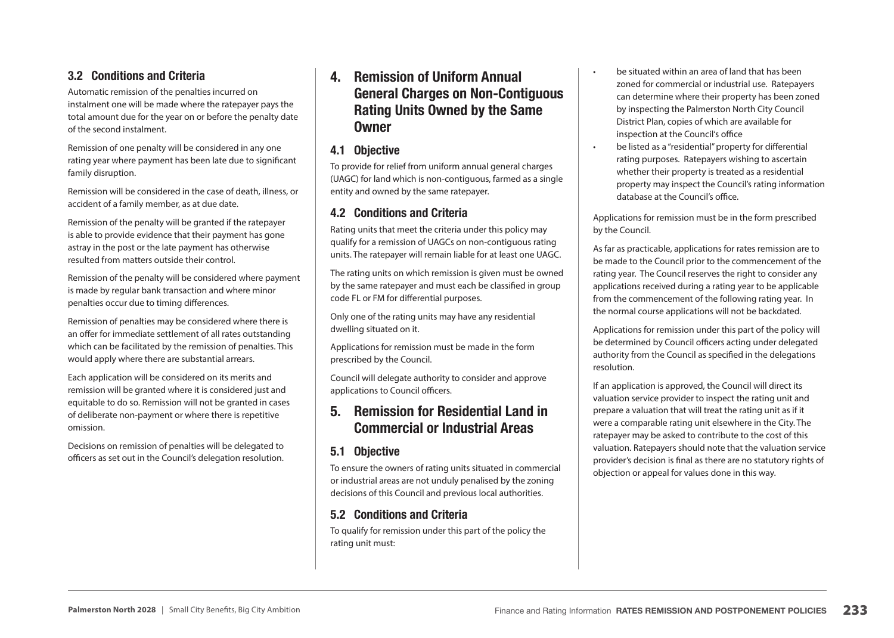### **3.2 Conditions and Criteria**

Automatic remission of the penalties incurred on instalment one will be made where the ratepayer pays the total amount due for the year on or before the penalty date of the second instalment.

Remission of one penalty will be considered in any one rating year where payment has been late due to significant family disruption.

Remission will be considered in the case of death, illness, or accident of a family member, as at due date.

Remission of the penalty will be granted if the ratepayer is able to provide evidence that their payment has gone astray in the post or the late payment has otherwise resulted from matters outside their control.

Remission of the penalty will be considered where payment is made by regular bank transaction and where minor penalties occur due to timing differences.

Remission of penalties may be considered where there is an offer for immediate settlement of all rates outstanding which can be facilitated by the remission of penalties. This would apply where there are substantial arrears.

Each application will be considered on its merits and remission will be granted where it is considered just and equitable to do so. Remission will not be granted in cases of deliberate non-payment or where there is repetitive omission.

Decisions on remission of penalties will be delegated to officers as set out in the Council's delegation resolution.

# **4. Remission of Uniform Annual General Charges on Non-Contiguous Rating Units Owned by the Same Owner**

#### **4.1 Objective**

To provide for relief from uniform annual general charges (UAGC) for land which is non-contiguous, farmed as a single entity and owned by the same ratepayer.

#### **4.2 Conditions and Criteria**

Rating units that meet the criteria under this policy may qualify for a remission of UAGCs on non-contiguous rating units. The ratepayer will remain liable for at least one UAGC.

The rating units on which remission is given must be owned by the same ratepayer and must each be classified in group code FL or FM for differential purposes.

Only one of the rating units may have any residential dwelling situated on it.

Applications for remission must be made in the form prescribed by the Council.

Council will delegate authority to consider and approve applications to Council officers.

# **5. Remission for Residential Land in Commercial or Industrial Areas**

### **5.1 Objective**

To ensure the owners of rating units situated in commercial or industrial areas are not unduly penalised by the zoning decisions of this Council and previous local authorities.

### **5.2 Conditions and Criteria**

To qualify for remission under this part of the policy the rating unit must:

 be situated within an area of land that has been zoned for commercial or industrial use. Ratepayers can determine where their property has been zoned by inspecting the Palmerston North City Council District Plan, copies of which are available for inspection at the Council's office

•

•

 be listed as a "residential" property for differential rating purposes. Ratepayers wishing to ascertain whether their property is treated as a residential property may inspect the Council's rating information database at the Council's office.

Applications for remission must be in the form prescribed by the Council.

As far as practicable, applications for rates remission are to be made to the Council prior to the commencement of the rating year. The Council reserves the right to consider any applications received during a rating year to be applicable from the commencement of the following rating year. In the normal course applications will not be backdated.

Applications for remission under this part of the policy will be determined by Council officers acting under delegated authority from the Council as specified in the delegations resolution.

If an application is approved, the Council will direct its valuation service provider to inspect the rating unit and prepare a valuation that will treat the rating unit as if it were a comparable rating unit elsewhere in the City. The ratepayer may be asked to contribute to the cost of this valuation. Ratepayers should note that the valuation service provider's decision is final as there are no statutory rights of objection or appeal for values done in this way.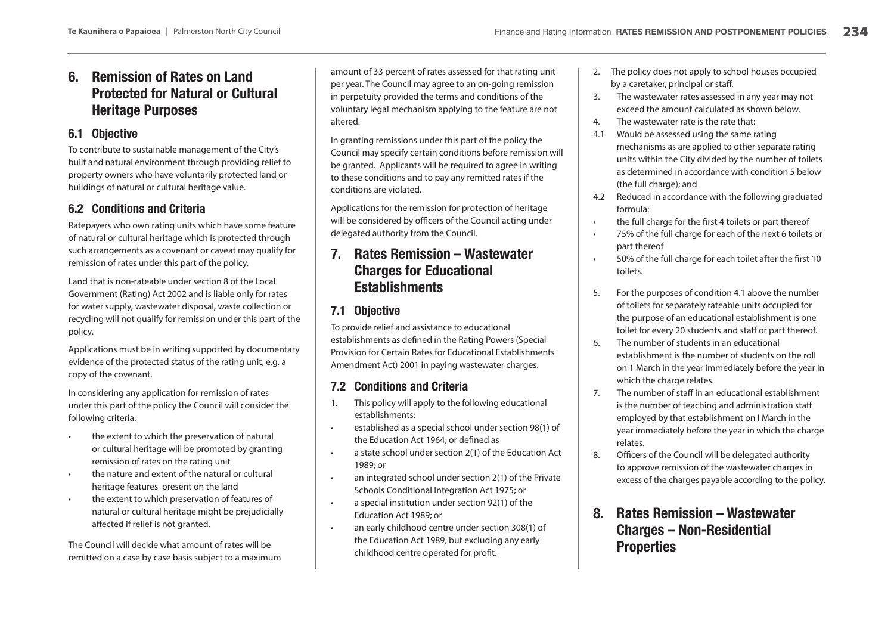# **6. Remission of Rates on Land Protected for Natural or Cultural Heritage Purposes**

#### **6.1 Objective**

To contribute to sustainable management of the City's built and natural environment through providing relief to property owners who have voluntarily protected land or buildings of natural or cultural heritage value.

### **6.2 Conditions and Criteria**

Ratepayers who own rating units which have some feature of natural or cultural heritage which is protected through such arrangements as a covenant or caveat may qualify for remission of rates under this part of the policy.

Land that is non-rateable under section 8 of the Local Government (Rating) Act 2002 and is liable only for rates for water supply, wastewater disposal, waste collection or recycling will not qualify for remission under this part of the policy.

Applications must be in writing supported by documentary evidence of the protected status of the rating unit, e.g. a copy of the covenant.

In considering any application for remission of rates under this part of the policy the Council will consider the following criteria:

- • the extent to which the preservation of natural or cultural heritage will be promoted by granting remission of rates on the rating unit
- • the nature and extent of the natural or cultural heritage features present on the land
- • the extent to which preservation of features of natural or cultural heritage might be prejudicially affected if relief is not granted.

The Council will decide what amount of rates will be remitted on a case by case basis subject to a maximum amount of 33 percent of rates assessed for that rating unit per year. The Council may agree to an on-going remission in perpetuity provided the terms and conditions of the voluntary legal mechanism applying to the feature are not altered.

In granting remissions under this part of the policy the Council may specify certain conditions before remission will be granted. Applicants will be required to agree in writing to these conditions and to pay any remitted rates if the conditions are violated.

Applications for the remission for protection of heritage will be considered by officers of the Council acting under delegated authority from the Council.

# **7. Rates Remission – Wastewater Charges for Educational Establishments**

#### **7.1 Objective**

To provide relief and assistance to educational establishments as defined in the Rating Powers (Special Provision for Certain Rates for Educational Establishments Amendment Act) 2001 in paying wastewater charges.

#### **7.2 Conditions and Criteria**

- 1. This policy will apply to the following educational establishments:
- • established as a special school under section 98(1) of the Education Act 1964; or defined as
- • a state school under section 2(1) of the Education Act 1989; or
- • an integrated school under section 2(1) of the Private Schools Conditional Integration Act 1975; or
- • a special institution under section 92(1) of the Education Act 1989; or
- • an early childhood centre under section 308(1) of the Education Act 1989, but excluding any early childhood centre operated for profit.
- 2. The policy does not apply to school houses occupied by a caretaker, principal or staff.
- 3. The wastewater rates assessed in any year may not exceed the amount calculated as shown below.
- 4.The wastewater rate is the rate that:
- 4.1 Would be assessed using the same rating mechanisms as are applied to other separate rating units within the City divided by the number of toilets as determined in accordance with condition 5 below (the full charge); and
- 4.2 Reduced in accordance with the following graduated formula:
- •the full charge for the first 4 toilets or part thereof
- • 75% of the full charge for each of the next 6 toilets or part thereof
- • 50% of the full charge for each toilet after the first 10 toilets.
- 5. For the purposes of condition 4.1 above the number of toilets for separately rateable units occupied for the purpose of an educational establishment is one toilet for every 20 students and staff or part thereof.
- 6. The number of students in an educational establishment is the number of students on the roll on 1 March in the year immediately before the year in which the charge relates.
- 7. The number of staff in an educational establishment is the number of teaching and administration staff employed by that establishment on I March in the year immediately before the year in which the charge relates.
- 8. Officers of the Council will be delegated authority to approve remission of the wastewater charges in excess of the charges payable according to the policy.
- **8. Rates Remission – Wastewater Charges – Non-Residential Properties**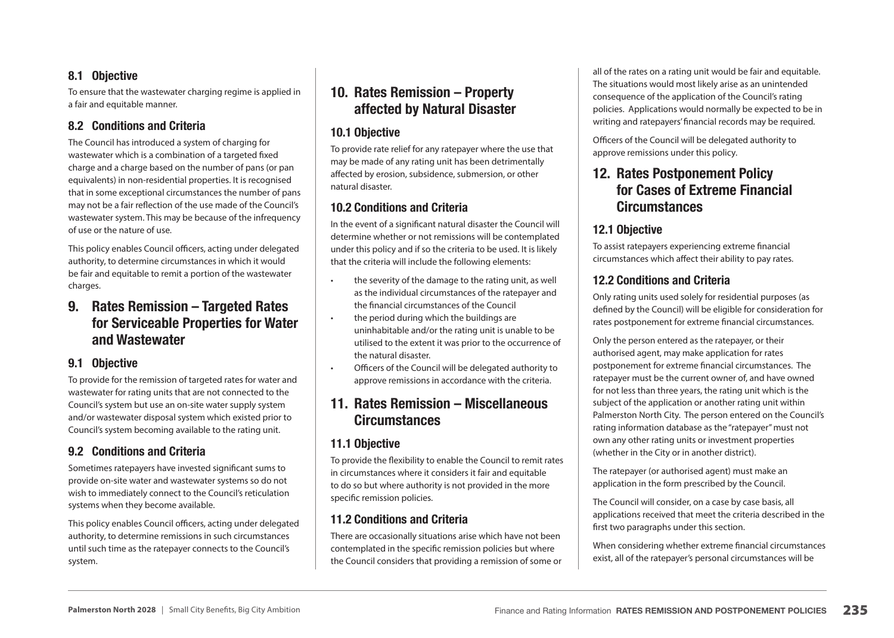### **8.1 Objective**

To ensure that the wastewater charging regime is applied in a fair and equitable manner.

#### **8.2 Conditions and Criteria**

The Council has introduced a system of charging for wastewater which is a combination of a targeted fixed charge and a charge based on the number of pans (or pan equivalents) in non-residential properties. It is recognised that in some exceptional circumstances the number of pans may not be a fair reflection of the use made of the Council's wastewater system. This may be because of the infrequency of use or the nature of use.

This policy enables Council officers, acting under delegated authority, to determine circumstances in which it would be fair and equitable to remit a portion of the wastewater charges.

# **9. Rates Remission – Targeted Rates for Serviceable Properties for Water and Wastewater**

#### **9.1 Objective**

To provide for the remission of targeted rates for water and wastewater for rating units that are not connected to the Council's system but use an on-site water supply system and/or wastewater disposal system which existed prior to Council's system becoming available to the rating unit.

#### **9.2 Conditions and Criteria**

Sometimes ratepayers have invested significant sums to provide on-site water and wastewater systems so do not wish to immediately connect to the Council's reticulation systems when they become available.

This policy enables Council officers, acting under delegated authority, to determine remissions in such circumstances until such time as the ratepayer connects to the Council's system.

# **10. Rates Remission – Property affected by Natural Disaster**

### **10.1 Objective**

To provide rate relief for any ratepayer where the use that may be made of any rating unit has been detrimentally affected by erosion, subsidence, submersion, or other natural disaster.

#### **10.2 Conditions and Criteria**

In the event of a significant natural disaster the Council will determine whether or not remissions will be contemplated under this policy and if so the criteria to be used. It is likely that the criteria will include the following elements:

- the severity of the damage to the rating unit, as well as the individual circumstances of the ratepayer and the financial circumstances of the Council
- • the period during which the buildings are uninhabitable and/or the rating unit is unable to be utilised to the extent it was prior to the occurrence of the natural disaster.
- • Officers of the Council will be delegated authority to approve remissions in accordance with the criteria.

# **11. Rates Remission – Miscellaneous Circumstances**

#### **11.1 Objective**

To provide the flexibility to enable the Council to remit rates in circumstances where it considers it fair and equitable to do so but where authority is not provided in the more specific remission policies.

### **11.2 Conditions and Criteria**

There are occasionally situations arise which have not been contemplated in the specific remission policies but where the Council considers that providing a remission of some or all of the rates on a rating unit would be fair and equitable. The situations would most likely arise as an unintended consequence of the application of the Council's rating policies. Applications would normally be expected to be in writing and ratepayers' financial records may be required.

Officers of the Council will be delegated authority to approve remissions under this policy.

# **12. Rates Postponement Policy for Cases of Extreme Financial Circumstances**

# **12.1 Objective**

To assist ratepayers experiencing extreme financial circumstances which affect their ability to pay rates.

#### **12.2 Conditions and Criteria**

Only rating units used solely for residential purposes (as defined by the Council) will be eligible for consideration for rates postponement for extreme financial circumstances.

Only the person entered as the ratepayer, or their authorised agent, may make application for rates postponement for extreme financial circumstances. The ratepayer must be the current owner of, and have owned for not less than three years, the rating unit which is the subject of the application or another rating unit within Palmerston North City. The person entered on the Council's rating information database as the "ratepayer" must not own any other rating units or investment properties (whether in the City or in another district).

The ratepayer (or authorised agent) must make an application in the form prescribed by the Council.

The Council will consider, on a case by case basis, all applications received that meet the criteria described in the first two paragraphs under this section.

When considering whether extreme financial circumstances exist, all of the ratepayer's personal circumstances will be